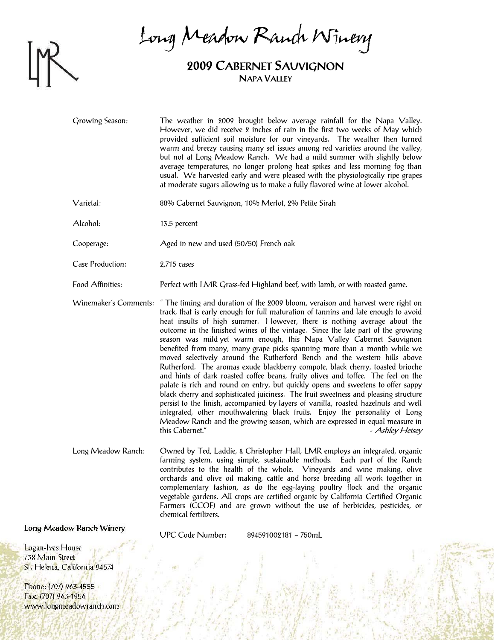

Long Meadow Ranch Winery

## **2009 CABERNET SAUVIGNON NAPA VALLEY**

Growing Season: The weather in 2009 brought below average rainfall for the Napa Valley. However, we did receive 2 inches of rain in the first two weeks of May which provided sufficient soil moisture for our vineyards. The weather then turned warm and breezy causing many set issues among red varieties around the valley, but not at Long Meadow Ranch. We had a mild summer with slightly below average temperatures, no longer prolong heat spikes and less morning fog than usual. We harvested early and were pleased with the physiologically ripe grapes at moderate sugars allowing us to make a fully flavored wine at lower alcohol.

Varietal: 88% Cabernet Sauvignon, 10% Merlot, 2% Petite Sirah

Alcohol: 13.5 percent

Cooperage: Aged in new and used (50/50) French oak

Case Production: 2,715 cases

Food Affinities: Perfect with LMR Grass-fed Highland beef, with lamb, or with roasted game.

Winemaker's Comments: " The timing and duration of the 2009 bloom, veraison and harvest were right on track, that is early enough for full maturation of tannins and late enough to avoid heat insults of high summer. However, there is nothing average about the outcome in the finished wines of the vintage. Since the late part of the growing season was mild yet warm enough, this Napa Valley Cabernet Sauvignon benefited from many, many grape picks spanning more than a month while we moved selectively around the Rutherford Bench and the western hills above Rutherford. The aromas exude blackberry compote, black cherry, toasted brioche and hints of dark roasted coffee beans, fruity olives and toffee. The feel on the palate is rich and round on entry, but quickly opens and sweetens to offer sappy black cherry and sophisticated juiciness. The fruit sweetness and pleasing structure persist to the finish, accompanied by layers of vanilla, roasted hazelnuts and well integrated, other mouthwatering black fruits. Enjoy the personality of Long Meadow Ranch and the growing season, which are expressed in equal measure in this Cabernet."  $\qquad \qquad$  - Ashley Heisey

Long Meadow Ranch: Owned by Ted, Laddie, & Christopher Hall, LMR employs an integrated, organic farming system, using simple, sustainable methods. Each part of the Ranch contributes to the health of the whole. Vineyards and wine making, olive orchards and olive oil making, cattle and horse breeding all work together in complementary fashion, as do the egg-laying poultry flock and the organic vegetable gardens. All crops are certified organic by California Certified Organic Farmers (CCOF) and are grown without the use of herbicides, pesticides, or chemical fertilizers.

Long Meadow Ranch Winery

UPC Code Number: 894591002181 – 750mL

Logan-Ives House 738 Main Street St. Helena, California 94574

Phone: (707) 963-4555 Fax: (707) 963-1956 www.longmeadowranch.com